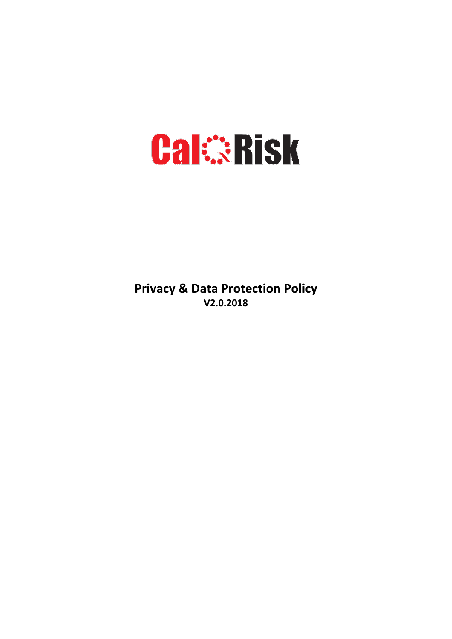# **Cal:::Risk**

**Privacy & Data Protection Policy V2.0.2018**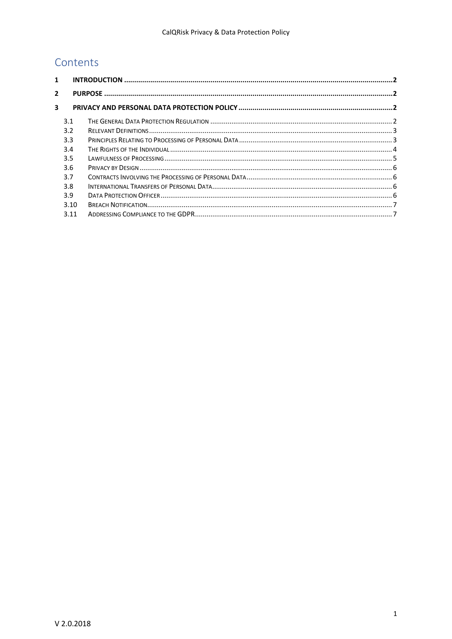## Contents

| 1 |      |  |  |  |
|---|------|--|--|--|
| 2 |      |  |  |  |
| 3 |      |  |  |  |
|   | 3.1  |  |  |  |
|   | 3.2  |  |  |  |
|   | 3.3  |  |  |  |
|   | 3.4  |  |  |  |
|   | 3.5  |  |  |  |
|   | 3.6  |  |  |  |
|   | 3.7  |  |  |  |
|   | 3.8  |  |  |  |
|   | 3.9  |  |  |  |
|   | 3.10 |  |  |  |
|   | 3.11 |  |  |  |
|   |      |  |  |  |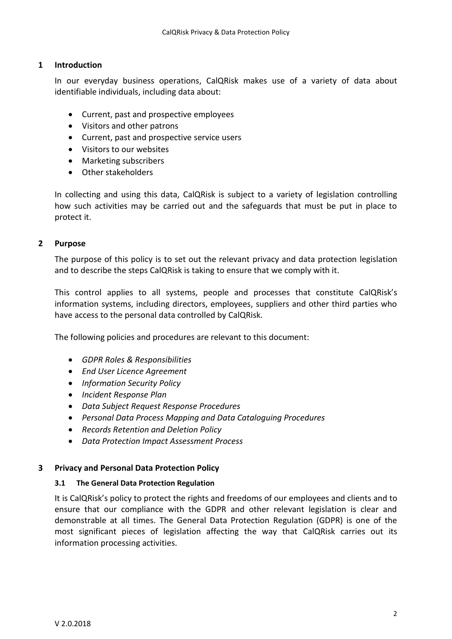## <span id="page-2-0"></span>**1 Introduction**

In our everyday business operations, CalQRisk makes use of a variety of data about identifiable individuals, including data about:

- Current, past and prospective employees
- Visitors and other patrons
- Current, past and prospective service users
- Visitors to our websites
- Marketing subscribers
- Other stakeholders

In collecting and using this data, CalQRisk is subject to a variety of legislation controlling how such activities may be carried out and the safeguards that must be put in place to protect it.

## <span id="page-2-1"></span>**2 Purpose**

The purpose of this policy is to set out the relevant privacy and data protection legislation and to describe the steps CalQRisk is taking to ensure that we comply with it.

This control applies to all systems, people and processes that constitute CalQRisk's information systems, including directors, employees, suppliers and other third parties who have access to the personal data controlled by CalQRisk.

The following policies and procedures are relevant to this document:

- *GDPR Roles & Responsibilities*
- *End User Licence Agreement*
- *Information Security Policy*
- *Incident Response Plan*
- *Data Subject Request Response Procedures*
- *Personal Data Process Mapping and Data Cataloguing Procedures*
- *Records Retention and Deletion Policy*
- *Data Protection Impact Assessment Process*

## <span id="page-2-2"></span>**3 Privacy and Personal Data Protection Policy**

## <span id="page-2-3"></span>**3.1 The General Data Protection Regulation**

It is CalQRisk's policy to protect the rights and freedoms of our employees and clients and to ensure that our compliance with the GDPR and other relevant legislation is clear and demonstrable at all times. The General Data Protection Regulation (GDPR) is one of the most significant pieces of legislation affecting the way that CalQRisk carries out its information processing activities.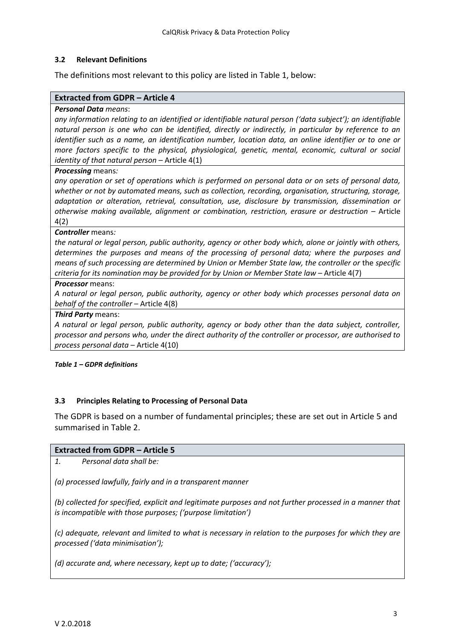## <span id="page-3-0"></span>**3.2 Relevant Definitions**

The definitions most relevant to this policy are listed in Table 1, below:

#### **Extracted from GDPR – Article 4**

#### *Personal Data means*:

*any information relating to an identified or identifiable natural person ('data subject'); an identifiable natural person is one who can be identified, directly or indirectly, in particular by reference to an identifier such as a name, an identification number, location data, an online identifier or to one or more factors specific to the physical, physiological, genetic, mental, economic, cultural or social identity of that natural person – Article 4(1)* 

#### *Processing* means*:*

*any operation or set of operations which is performed on personal data or on sets of personal data, whether or not by automated means, such as collection, recording, organisation, structuring, storage, adaptation or alteration, retrieval, consultation, use, disclosure by transmission, dissemination or otherwise making available, alignment or combination, restriction, erasure or destruction - Article* 4(2)

#### *Controller* means*:*

*the natural or legal person, public authority, agency or other body which, alone or jointly with others, determines the purposes and means of the processing of personal data; where the purposes and means of such processing are determined by Union or Member State law, the controller or* the *specific criteria for its nomination may be provided for by Union or Member State law - Article 4(7)* 

#### *Processor* means:

*A natural or legal person, public authority, agency or other body which processes personal data on behalf of the controller* – Article 4(8)

#### *Third Party* means:

*A natural or legal person, public authority, agency or body other than the data subject, controller, processor and persons who, under the direct authority of the controller or processor, are authorised to process personal data* – Article 4(10)

#### *Table 1 – GDPR definitions*

## <span id="page-3-1"></span>**3.3 Principles Relating to Processing of Personal Data**

The GDPR is based on a number of fundamental principles; these are set out in Article 5 and summarised in Table 2.

## **Extracted from GDPR – Article 5**

| 1. | Personal data shall be: |
|----|-------------------------|
|----|-------------------------|

*(a) processed lawfully, fairly and in a transparent manner*

*(b) collected for specified, explicit and legitimate purposes and not further processed in a manner that is incompatible with those purposes; ('purpose limitation')*

*(c) adequate, relevant and limited to what is necessary in relation to the purposes for which they are processed ('data minimisation');*

*(d) accurate and, where necessary, kept up to date; ('accuracy');*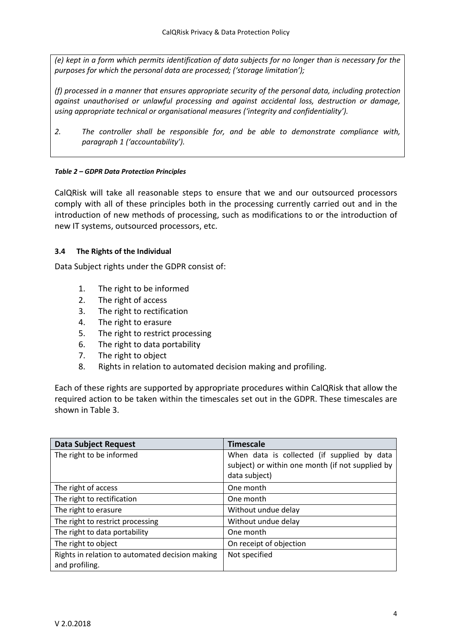*(e) kept in a form which permits identification of data subjects for no longer than is necessary for the purposes for which the personal data are processed; ('storage limitation');*

*(f) processed in a manner that ensures appropriate security of the personal data, including protection against unauthorised or unlawful processing and against accidental loss, destruction or damage, using appropriate technical or organisational measures ('integrity and confidentiality').*

*2. The controller shall be responsible for, and be able to demonstrate compliance with, paragraph 1 ('accountability').*

## *Table 2 – GDPR Data Protection Principles*

CalQRisk will take all reasonable steps to ensure that we and our outsourced processors comply with all of these principles both in the processing currently carried out and in the introduction of new methods of processing, such as modifications to or the introduction of new IT systems, outsourced processors, etc.

## <span id="page-4-0"></span>**3.4 The Rights of the Individual**

Data Subject rights under the GDPR consist of:

- 1. The right to be informed
- 2. The right of access
- 3. The right to rectification
- 4. The right to erasure
- 5. The right to restrict processing
- 6. The right to data portability
- 7. The right to object
- 8. Rights in relation to automated decision making and profiling.

Each of these rights are supported by appropriate procedures within CalQRisk that allow the required action to be taken within the timescales set out in the GDPR. These timescales are shown in Table 3.

| <b>Data Subject Request</b>                                       | <b>Timescale</b>                                                                                                 |
|-------------------------------------------------------------------|------------------------------------------------------------------------------------------------------------------|
| The right to be informed                                          | When data is collected (if supplied by data<br>subject) or within one month (if not supplied by<br>data subject) |
| The right of access                                               | One month                                                                                                        |
| The right to rectification                                        | One month                                                                                                        |
| The right to erasure                                              | Without undue delay                                                                                              |
| The right to restrict processing                                  | Without undue delay                                                                                              |
| The right to data portability                                     | One month                                                                                                        |
| The right to object                                               | On receipt of objection                                                                                          |
| Rights in relation to automated decision making<br>and profiling. | Not specified                                                                                                    |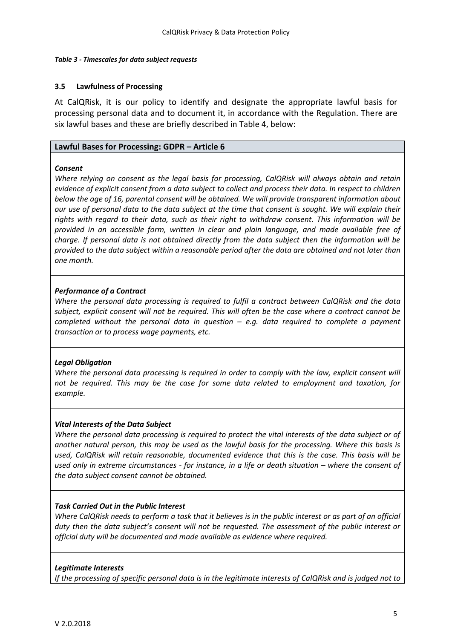#### *Table [3](#page-4-0) - Timescales for data subject requests*

#### <span id="page-5-0"></span>**3.5 Lawfulness of Processing**

At CalQRisk, it is our policy to identify and designate the appropriate lawful basis for processing personal data and to document it, in accordance with the Regulation. There are six lawful bases and these are briefly described in Table 4, below:

#### **Lawful Bases for Processing: GDPR – Article 6**

#### *Consent*

*Where relying on consent as the legal basis for processing, CalQRisk will always obtain and retain evidence of explicit consent from a data subject to collect and process their data. In respect to children below the age of 16, parental consent will be obtained. We will provide transparent information about our use of personal data to the data subject at the time that consent is sought. We will explain their rights with regard to their data, such as their right to withdraw consent. This information will be provided in an accessible form, written in clear and plain language, and made available free of charge. If personal data is not obtained directly from the data subject then the information will be provided to the data subject within a reasonable period after the data are obtained and not later than one month.*

#### *Performance of a Contract*

*Where the personal data processing is required to fulfil a contract between CalQRisk and the data subject, explicit consent will not be required. This will often be the case where a contract cannot be completed without the personal data in question – e.g. data required to complete a payment transaction or to process wage payments, etc.*

#### *Legal Obligation*

*Where the personal data processing is required in order to comply with the law, explicit consent will not be required. This may be the case for some data related to employment and taxation, for example.*

#### *Vital Interests of the Data Subject*

*Where the personal data processing is required to protect the vital interests of the data subject or of another natural person, this may be used as the lawful basis for the processing. Where this basis is used, CalQRisk will retain reasonable, documented evidence that this is the case. This basis will be used only in extreme circumstances - for instance, in a life or death situation – where the consent of the data subject consent cannot be obtained.*

#### *Task Carried Out in the Public Interest*

*Where CalQRisk needs to perform a task that it believes is in the public interest or as part of an official duty then the data subject's consent will not be requested. The assessment of the public interest or official duty will be documented and made available as evidence where required.*

#### *Legitimate Interests*

*If the processing of specific personal data is in the legitimate interests of CalQRisk and is judged not to*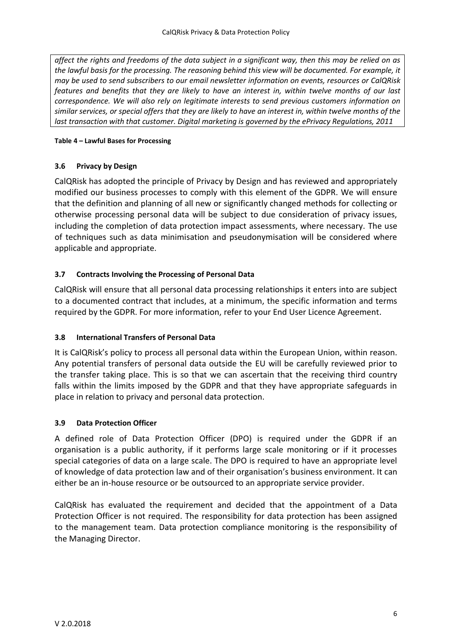*affect the rights and freedoms of the data subject in a significant way, then this may be relied on as the lawful basis for the processing. The reasoning behind this view will be documented. For example, it may be used to send subscribers to our email newsletter information on events, resources or CalQRisk features and benefits that they are likely to have an interest in, within twelve months of our last correspondence. We will also rely on legitimate interests to send previous customers information on similar services, or special offers that they are likely to have an interest in, within twelve months of the last transaction with that customer. Digital marketing is governed by the ePrivacy Regulations, 2011*

## **Table [4](#page-5-0) – Lawful Bases for Processing**

## <span id="page-6-0"></span>**3.6 Privacy by Design**

CalQRisk has adopted the principle of Privacy by Design and has reviewed and appropriately modified our business processes to comply with this element of the GDPR. We will ensure that the definition and planning of all new or significantly changed methods for collecting or otherwise processing personal data will be subject to due consideration of privacy issues, including the completion of data protection impact assessments, where necessary. The use of techniques such as data minimisation and pseudonymisation will be considered where applicable and appropriate.

## <span id="page-6-1"></span>**3.7 Contracts Involving the Processing of Personal Data**

CalQRisk will ensure that all personal data processing relationships it enters into are subject to a documented contract that includes, at a minimum, the specific information and terms required by the GDPR. For more information, refer to your End User Licence Agreement.

## <span id="page-6-2"></span>**3.8 International Transfers of Personal Data**

It is CalQRisk's policy to process all personal data within the European Union, within reason. Any potential transfers of personal data outside the EU will be carefully reviewed prior to the transfer taking place. This is so that we can ascertain that the receiving third country falls within the limits imposed by the GDPR and that they have appropriate safeguards in place in relation to privacy and personal data protection.

## <span id="page-6-3"></span>**3.9 Data Protection Officer**

A defined role of Data Protection Officer (DPO) is required under the GDPR if an organisation is a public authority, if it performs large scale monitoring or if it processes special categories of data on a large scale. The DPO is required to have an appropriate level of knowledge of data protection law and of their organisation's business environment. It can either be an in-house resource or be outsourced to an appropriate service provider.

CalQRisk has evaluated the requirement and decided that the appointment of a Data Protection Officer is not required. The responsibility for data protection has been assigned to the management team. Data protection compliance monitoring is the responsibility of the Managing Director.